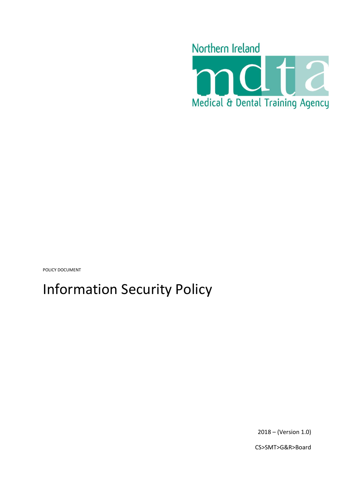

POLICY DOCUMENT

# Information Security Policy

2018 – (Version 1.0)

CS>SMT>G&R>Board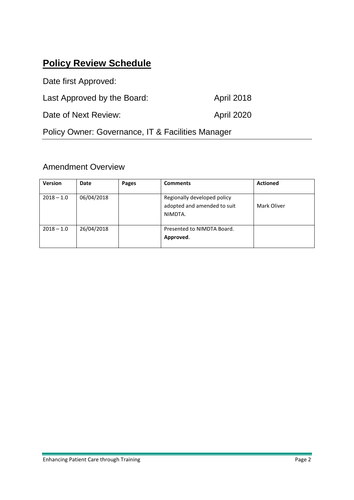### <span id="page-1-0"></span>**Policy Review Schedule**

Date first Approved: Last Approved by the Board: April 2018 Date of Next Review: April 2020 Policy Owner: Governance, IT & Facilities Manager

### Amendment Overview

| <b>Version</b> | Date       | Pages | <b>Comments</b>                                                       | <b>Actioned</b> |
|----------------|------------|-------|-----------------------------------------------------------------------|-----------------|
| $2018 - 1.0$   | 06/04/2018 |       | Regionally developed policy<br>adopted and amended to suit<br>NIMDTA. | Mark Oliver     |
| $2018 - 1.0$   | 26/04/2018 |       | Presented to NIMDTA Board.<br>Approved.                               |                 |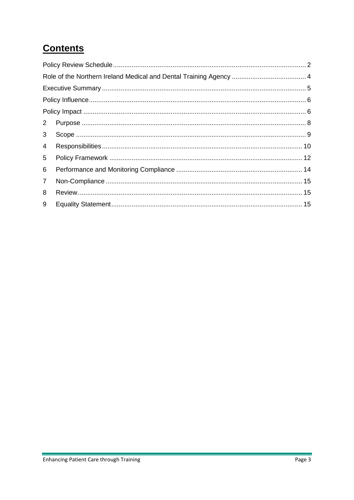# **Contents**

| $2^{\circ}$    |  |  |
|----------------|--|--|
| 3 <sup>1</sup> |  |  |
| $\overline{4}$ |  |  |
| 5              |  |  |
| 6              |  |  |
| $\mathbf{7}$   |  |  |
| 8              |  |  |
| 9              |  |  |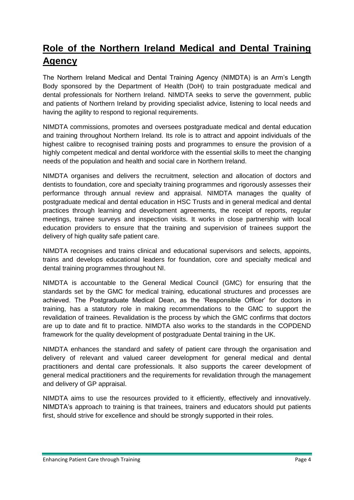# <span id="page-3-0"></span>**Role of the Northern Ireland Medical and Dental Training Agency**

The Northern Ireland Medical and Dental Training Agency (NIMDTA) is an Arm's Length Body sponsored by the Department of Health (DoH) to train postgraduate medical and dental professionals for Northern Ireland. NIMDTA seeks to serve the government, public and patients of Northern Ireland by providing specialist advice, listening to local needs and having the agility to respond to regional requirements.

NIMDTA commissions, promotes and oversees postgraduate medical and dental education and training throughout Northern Ireland. Its role is to attract and appoint individuals of the highest calibre to recognised training posts and programmes to ensure the provision of a highly competent medical and dental workforce with the essential skills to meet the changing needs of the population and health and social care in Northern Ireland.

NIMDTA organises and delivers the recruitment, selection and allocation of doctors and dentists to foundation, core and specialty training programmes and rigorously assesses their performance through annual review and appraisal. NIMDTA manages the quality of postgraduate medical and dental education in HSC Trusts and in general medical and dental practices through learning and development agreements, the receipt of reports, regular meetings, trainee surveys and inspection visits. It works in close partnership with local education providers to ensure that the training and supervision of trainees support the delivery of high quality safe patient care.

NIMDTA recognises and trains clinical and educational supervisors and selects, appoints, trains and develops educational leaders for foundation, core and specialty medical and dental training programmes throughout NI.

NIMDTA is accountable to the General Medical Council (GMC) for ensuring that the standards set by the GMC for medical training, educational structures and processes are achieved. The Postgraduate Medical Dean, as the 'Responsible Officer' for doctors in training, has a statutory role in making recommendations to the GMC to support the revalidation of trainees. Revalidation is the process by which the GMC confirms that doctors are up to date and fit to practice. NIMDTA also works to the standards in the COPDEND framework for the quality development of postgraduate Dental training in the UK.

NIMDTA enhances the standard and safety of patient care through the organisation and delivery of relevant and valued career development for general medical and dental practitioners and dental care professionals. It also supports the career development of general medical practitioners and the requirements for revalidation through the management and delivery of GP appraisal.

NIMDTA aims to use the resources provided to it efficiently, effectively and innovatively. NIMDTA's approach to training is that trainees, trainers and educators should put patients first, should strive for excellence and should be strongly supported in their roles.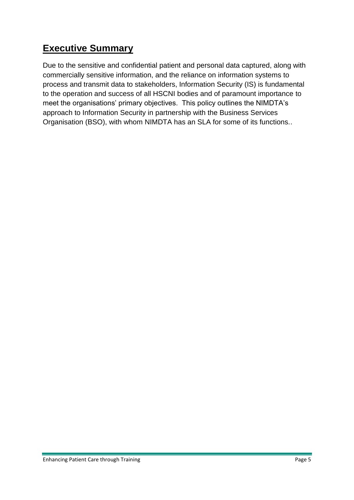## <span id="page-4-0"></span>**Executive Summary**

Due to the sensitive and confidential patient and personal data captured, along with commercially sensitive information, and the reliance on information systems to process and transmit data to stakeholders, Information Security (IS) is fundamental to the operation and success of all HSCNI bodies and of paramount importance to meet the organisations' primary objectives. This policy outlines the NIMDTA's approach to Information Security in partnership with the Business Services Organisation (BSO), with whom NIMDTA has an SLA for some of its functions..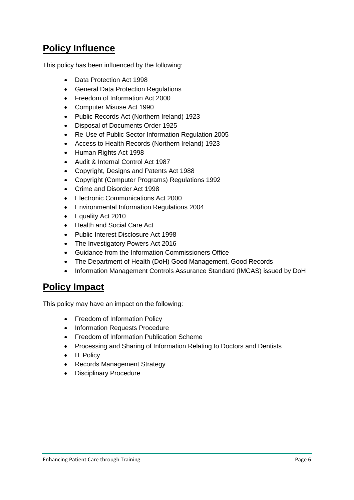### <span id="page-5-0"></span>**Policy Influence**

This policy has been influenced by the following:

- Data Protection Act 1998
- General Data Protection Regulations
- Freedom of Information Act 2000
- Computer Misuse Act 1990
- Public Records Act (Northern Ireland) 1923
- Disposal of Documents Order 1925
- Re-Use of Public Sector Information Regulation 2005
- Access to Health Records (Northern Ireland) 1923
- Human Rights Act 1998
- Audit & Internal Control Act 1987
- Copyright, Designs and Patents Act 1988
- Copyright (Computer Programs) Regulations 1992
- Crime and Disorder Act 1998
- Electronic Communications Act 2000
- Environmental Information Regulations 2004
- Equality Act 2010
- Health and Social Care Act
- Public Interest Disclosure Act 1998
- The Investigatory Powers Act 2016
- Guidance from the Information Commissioners Office
- The Department of Health (DoH) Good Management, Good Records
- Information Management Controls Assurance Standard (IMCAS) issued by DoH

### <span id="page-5-1"></span>**Policy Impact**

This policy may have an impact on the following:

- Freedom of Information Policy
- Information Requests Procedure
- Freedom of Information Publication Scheme
- Processing and Sharing of Information Relating to Doctors and Dentists
- IT Policy
- Records Management Strategy
- Disciplinary Procedure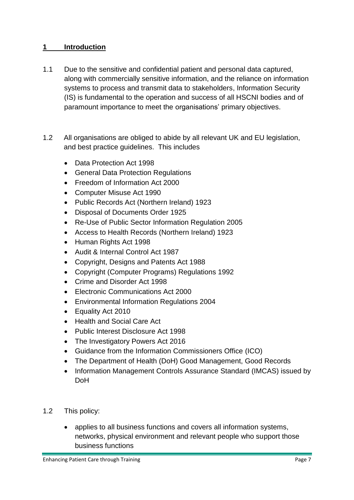#### **1 Introduction**

- 1.1 Due to the sensitive and confidential patient and personal data captured, along with commercially sensitive information, and the reliance on information systems to process and transmit data to stakeholders, Information Security (IS) is fundamental to the operation and success of all HSCNI bodies and of paramount importance to meet the organisations' primary objectives.
- 1.2 All organisations are obliged to abide by all relevant UK and EU legislation, and best practice guidelines. This includes
	- Data Protection Act 1998
	- General Data Protection Regulations
	- Freedom of Information Act 2000
	- Computer Misuse Act 1990
	- Public Records Act (Northern Ireland) 1923
	- Disposal of Documents Order 1925
	- Re-Use of Public Sector Information Regulation 2005
	- Access to Health Records (Northern Ireland) 1923
	- Human Rights Act 1998
	- Audit & Internal Control Act 1987
	- Copyright, Designs and Patents Act 1988
	- Copyright (Computer Programs) Regulations 1992
	- Crime and Disorder Act 1998
	- Electronic Communications Act 2000
	- Environmental Information Regulations 2004
	- Equality Act 2010
	- Health and Social Care Act
	- Public Interest Disclosure Act 1998
	- The Investigatory Powers Act 2016
	- Guidance from the Information Commissioners Office (ICO)
	- The Department of Health (DoH) Good Management, Good Records
	- Information Management Controls Assurance Standard (IMCAS) issued by DoH
- 1.2 This policy:
	- applies to all business functions and covers all information systems, networks, physical environment and relevant people who support those business functions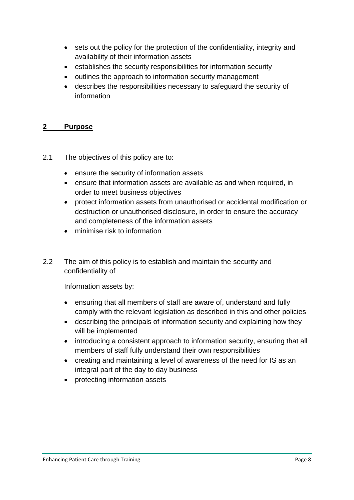- sets out the policy for the protection of the confidentiality, integrity and availability of their information assets
- establishes the security responsibilities for information security
- outlines the approach to information security management
- describes the responsibilities necessary to safeguard the security of information

#### <span id="page-7-0"></span>**2 Purpose**

- 2.1 The objectives of this policy are to:
	- ensure the security of information assets
	- ensure that information assets are available as and when required, in order to meet business objectives
	- protect information assets from unauthorised or accidental modification or destruction or unauthorised disclosure, in order to ensure the accuracy and completeness of the information assets
	- minimise risk to information
- 2.2 The aim of this policy is to establish and maintain the security and confidentiality of

Information assets by:

- ensuring that all members of staff are aware of, understand and fully comply with the relevant legislation as described in this and other policies
- describing the principals of information security and explaining how they will be implemented
- introducing a consistent approach to information security, ensuring that all members of staff fully understand their own responsibilities
- creating and maintaining a level of awareness of the need for IS as an integral part of the day to day business
- protecting information assets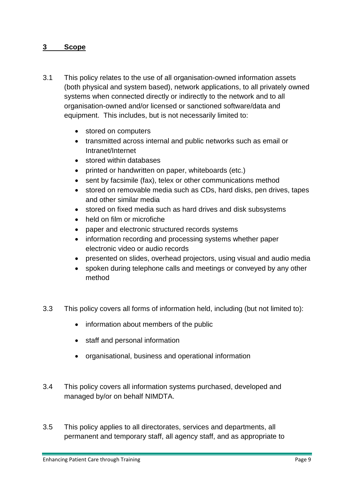#### <span id="page-8-0"></span>**3 Scope**

- 3.1 This policy relates to the use of all organisation-owned information assets (both physical and system based), network applications, to all privately owned systems when connected directly or indirectly to the network and to all organisation-owned and/or licensed or sanctioned software/data and equipment. This includes, but is not necessarily limited to:
	- stored on computers
	- transmitted across internal and public networks such as email or Intranet/Internet
	- stored within databases
	- printed or handwritten on paper, whiteboards (etc.)
	- sent by facsimile (fax), telex or other communications method
	- stored on removable media such as CDs, hard disks, pen drives, tapes and other similar media
	- stored on fixed media such as hard drives and disk subsystems
	- held on film or microfiche
	- paper and electronic structured records systems
	- information recording and processing systems whether paper electronic video or audio records
	- presented on slides, overhead projectors, using visual and audio media
	- spoken during telephone calls and meetings or conveyed by any other method
- 3.3 This policy covers all forms of information held, including (but not limited to):
	- information about members of the public
	- staff and personal information
	- organisational, business and operational information
- 3.4 This policy covers all information systems purchased, developed and managed by/or on behalf NIMDTA.
- 3.5 This policy applies to all directorates, services and departments, all permanent and temporary staff, all agency staff, and as appropriate to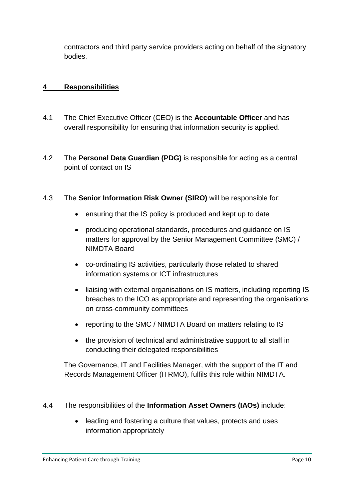contractors and third party service providers acting on behalf of the signatory bodies.

#### <span id="page-9-0"></span>**4 Responsibilities**

- 4.1 The Chief Executive Officer (CEO) is the **Accountable Officer** and has overall responsibility for ensuring that information security is applied.
- 4.2 The **Personal Data Guardian (PDG)** is responsible for acting as a central point of contact on IS
- 4.3 The **Senior Information Risk Owner (SIRO)** will be responsible for:
	- ensuring that the IS policy is produced and kept up to date
	- producing operational standards, procedures and guidance on IS matters for approval by the Senior Management Committee (SMC) / NIMDTA Board
	- co-ordinating IS activities, particularly those related to shared information systems or ICT infrastructures
	- liaising with external organisations on IS matters, including reporting IS breaches to the ICO as appropriate and representing the organisations on cross-community committees
	- reporting to the SMC / NIMDTA Board on matters relating to IS
	- the provision of technical and administrative support to all staff in conducting their delegated responsibilities

The Governance, IT and Facilities Manager, with the support of the IT and Records Management Officer (ITRMO), fulfils this role within NIMDTA.

- 4.4 The responsibilities of the **Information Asset Owners (IAOs)** include:
	- leading and fostering a culture that values, protects and uses information appropriately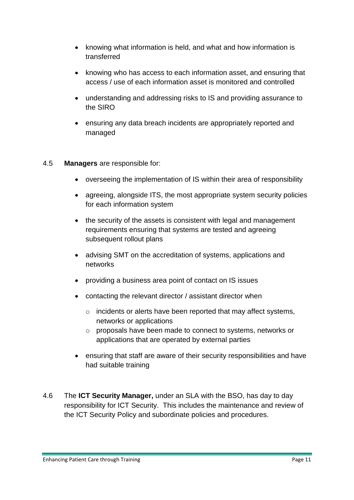- knowing what information is held, and what and how information is transferred
- knowing who has access to each information asset, and ensuring that access / use of each information asset is monitored and controlled
- understanding and addressing risks to IS and providing assurance to the SIRO
- ensuring any data breach incidents are appropriately reported and managed

#### 4.5 **Managers** are responsible for:

- overseeing the implementation of IS within their area of responsibility
- agreeing, alongside ITS, the most appropriate system security policies for each information system
- the security of the assets is consistent with legal and management requirements ensuring that systems are tested and agreeing subsequent rollout plans
- advising SMT on the accreditation of systems, applications and networks
- providing a business area point of contact on IS issues
- contacting the relevant director / assistant director when
	- o incidents or alerts have been reported that may affect systems, networks or applications
	- o proposals have been made to connect to systems, networks or applications that are operated by external parties
- ensuring that staff are aware of their security responsibilities and have had suitable training
- 4.6 The **ICT Security Manager,** under an SLA with the BSO, has day to day responsibility for ICT Security. This includes the maintenance and review of the ICT Security Policy and subordinate policies and procedures.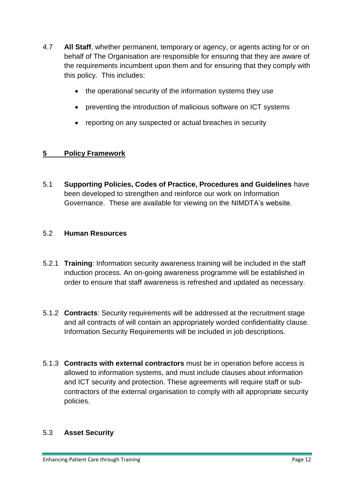- 4.7 **All Staff**, whether permanent, temporary or agency, or agents acting for or on behalf of The Organisation are responsible for ensuring that they are aware of the requirements incumbent upon them and for ensuring that they comply with this policy. This includes:
	- the operational security of the information systems they use
	- preventing the introduction of malicious software on ICT systems
	- reporting on any suspected or actual breaches in security

#### <span id="page-11-0"></span>**5 Policy Framework**

5.1 **Supporting Policies, Codes of Practice, Procedures and Guidelines** have been developed to strengthen and reinforce our work on Information Governance. These are available for viewing on the NIMDTA's website.

#### 5.2 **Human Resources**

- 5.2.1 **Training**: Information security awareness training will be included in the staff induction process. An on-going awareness programme will be established in order to ensure that staff awareness is refreshed and updated as necessary.
- 5.1.2 **Contracts**: Security requirements will be addressed at the recruitment stage and all contracts of will contain an appropriately worded confidentiality clause. Information Security Requirements will be included in job descriptions.
- 5.1.3 **Contracts with external contractors** must be in operation before access is allowed to information systems, and must include clauses about information and ICT security and protection. These agreements will require staff or subcontractors of the external organisation to comply with all appropriate security policies.

#### 5.3 **Asset Security**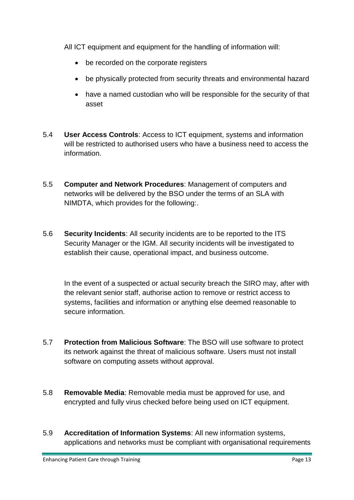All ICT equipment and equipment for the handling of information will:

- be recorded on the corporate registers
- be physically protected from security threats and environmental hazard
- have a named custodian who will be responsible for the security of that asset
- 5.4 **User Access Controls**: Access to ICT equipment, systems and information will be restricted to authorised users who have a business need to access the information.
- 5.5 **Computer and Network Procedures**: Management of computers and networks will be delivered by the BSO under the terms of an SLA with NIMDTA, which provides for the following:.
- 5.6 **Security Incidents**: All security incidents are to be reported to the ITS Security Manager or the IGM. All security incidents will be investigated to establish their cause, operational impact, and business outcome.

In the event of a suspected or actual security breach the SIRO may, after with the relevant senior staff, authorise action to remove or restrict access to systems, facilities and information or anything else deemed reasonable to secure information.

- 5.7 **Protection from Malicious Software**: The BSO will use software to protect its network against the threat of malicious software. Users must not install software on computing assets without approval.
- 5.8 **Removable Media**: Removable media must be approved for use, and encrypted and fully virus checked before being used on ICT equipment.
- 5.9 **Accreditation of Information Systems**: All new information systems, applications and networks must be compliant with organisational requirements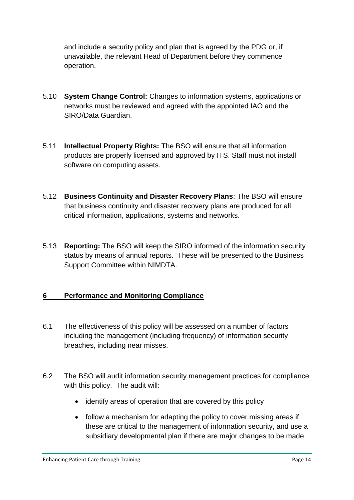and include a security policy and plan that is agreed by the PDG or, if unavailable, the relevant Head of Department before they commence operation.

- 5.10 **System Change Control:** Changes to information systems, applications or networks must be reviewed and agreed with the appointed IAO and the SIRO/Data Guardian.
- 5.11 **Intellectual Property Rights:** The BSO will ensure that all information products are properly licensed and approved by ITS. Staff must not install software on computing assets.
- 5.12 **Business Continuity and Disaster Recovery Plans**: The BSO will ensure that business continuity and disaster recovery plans are produced for all critical information, applications, systems and networks.
- 5.13 **Reporting:** The BSO will keep the SIRO informed of the information security status by means of annual reports. These will be presented to the Business Support Committee within NIMDTA.

#### <span id="page-13-0"></span>**6 Performance and Monitoring Compliance**

- 6.1 The effectiveness of this policy will be assessed on a number of factors including the management (including frequency) of information security breaches, including near misses.
- 6.2 The BSO will audit information security management practices for compliance with this policy. The audit will:
	- identify areas of operation that are covered by this policy
	- follow a mechanism for adapting the policy to cover missing areas if these are critical to the management of information security, and use a subsidiary developmental plan if there are major changes to be made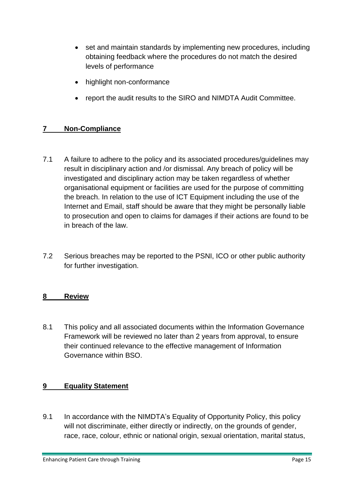- set and maintain standards by implementing new procedures, including obtaining feedback where the procedures do not match the desired levels of performance
- highlight non-conformance
- report the audit results to the SIRO and NIMDTA Audit Committee.

### <span id="page-14-0"></span>**7 Non-Compliance**

- 7.1 A failure to adhere to the policy and its associated procedures/guidelines may result in disciplinary action and /or dismissal. Any breach of policy will be investigated and disciplinary action may be taken regardless of whether organisational equipment or facilities are used for the purpose of committing the breach. In relation to the use of ICT Equipment including the use of the Internet and Email, staff should be aware that they might be personally liable to prosecution and open to claims for damages if their actions are found to be in breach of the law.
- 7.2 Serious breaches may be reported to the PSNI, ICO or other public authority for further investigation.

#### <span id="page-14-1"></span>**8 Review**

8.1 This policy and all associated documents within the Information Governance Framework will be reviewed no later than 2 years from approval, to ensure their continued relevance to the effective management of Information Governance within BSO.

#### <span id="page-14-2"></span>**9 Equality Statement**

9.1 In accordance with the NIMDTA's Equality of Opportunity Policy, this policy will not discriminate, either directly or indirectly, on the grounds of gender, race, race, colour, ethnic or national origin, sexual orientation, marital status,